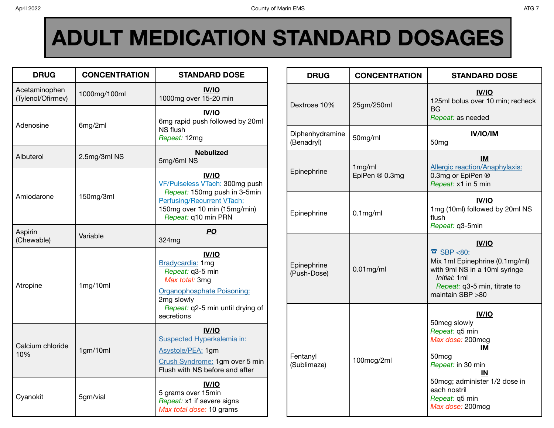## **ADULT MEDICATION STANDARD DOSAGES**

| <b>DRUG</b>                        | <b>CONCENTRATION</b> | <b>STANDARD DOSE</b>                                                                                                                                                |  |  |
|------------------------------------|----------------------|---------------------------------------------------------------------------------------------------------------------------------------------------------------------|--|--|
| Acetaminophen<br>(Tylenol/Ofirmev) | 1000mg/100ml         | <b>IV/IO</b><br>1000mg over 15-20 min                                                                                                                               |  |  |
| Adenosine                          | 6mg/2ml              | <b>IV/IO</b><br>6mg rapid push followed by 20ml<br>NS flush<br>Repeat: 12mg                                                                                         |  |  |
| Albuterol                          | 2.5mg/3ml NS         | <b>Nebulized</b><br>5mg/6ml NS                                                                                                                                      |  |  |
| Amiodarone                         | 150mg/3ml            | <b>IV/IO</b><br>VF/Pulseless VTach: 300mg push<br>Repeat: 150mg push in 3-5min<br>Perfusing/Recurrent VTach:<br>150mg over 10 min (15mg/min)<br>Repeat: q10 min PRN |  |  |
| Aspirin<br>(Chewable)              | Variable             | <b>PO</b><br>324mg                                                                                                                                                  |  |  |
| Atropine                           | 1mg/10ml             | IV/IO<br>Bradycardia: 1mg<br>Repeat: q3-5 min<br>Max total: 3mg<br>Organophosphate Poisoning:<br>2mg slowly<br>Repeat: q2-5 min until drying of<br>secretions       |  |  |
| Calcium chloride<br>10%            | 1gm/10ml             | <b>IV/IO</b><br>Suspected Hyperkalemia in:<br>Asystole/PEA: 1gm<br>Crush Syndrome: 1gm over 5 min<br>Flush with NS before and after                                 |  |  |
| Cyanokit                           | 5gm/vial             | IV/IO<br>5 grams over 15min<br>Repeat: x1 if severe signs<br>Max total dose: 10 grams                                                                               |  |  |

| <b>DRUG</b>                   | <b>CONCENTRATION</b>     | <b>STANDARD DOSE</b>                                                                                                                                                                                            |  |  |
|-------------------------------|--------------------------|-----------------------------------------------------------------------------------------------------------------------------------------------------------------------------------------------------------------|--|--|
| Dextrose 10%                  | 25gm/250ml               | <b>IV/IO</b><br>125ml bolus over 10 min; recheck<br>BG<br>Repeat: as needed                                                                                                                                     |  |  |
| Diphenhydramine<br>(Benadryl) | 50mg/ml                  | <b>IV/IO/IM</b><br>50 <sub>mg</sub>                                                                                                                                                                             |  |  |
| Epinephrine                   | 1mg/ml<br>EpiPen ® 0.3mg | ΙM<br><b>Allergic reaction/Anaphylaxis:</b><br>0.3mg or EpiPen ®<br>Repeat: x1 in 5 min                                                                                                                         |  |  |
| Epinephrine                   | $0.1$ mg/ml              | <b>IV/IO</b><br>1mg (10ml) followed by 20ml NS<br>flush<br>Repeat: q3-5min                                                                                                                                      |  |  |
| Epinephrine<br>(Push-Dose)    | $0.01$ mg/ml             | <b>IV/IO</b><br>$\overline{\bullet}$ SBP <80:<br>Mix 1ml Epinephrine (0.1mg/ml)<br>with 9ml NS in a 10ml syringe<br><i>Initial:</i> 1ml<br>Repeat: q3-5 min, titrate to<br>maintain SBP >80                     |  |  |
| Fentanyl<br>(Sublimaze)       | 100mcg/2ml               | <b>IV/IO</b><br>50mcg slowly<br>Repeat: q5 min<br>Max dose: 200mcg<br>ΙM<br>50 <sub>mcg</sub><br>Repeat: in 30 min<br>ΙN<br>50mcg; administer 1/2 dose in<br>each nostril<br>Repeat: q5 min<br>Max dose: 200mcg |  |  |